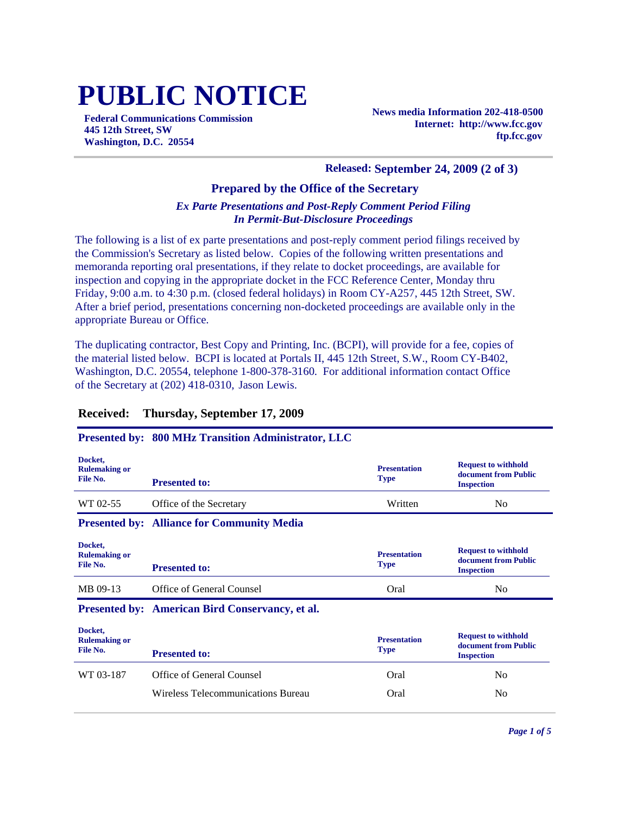# **PUBLIC NOTICE**

**Federal Communications Commission 445 12th Street, SW Washington, D.C. 20554**

**News media Information 202-418-0500 Internet: http://www.fcc.gov ftp.fcc.gov**

#### **Released: September 24, 2009 (2 of 3)**

## **Prepared by the Office of the Secretary**

## *Ex Parte Presentations and Post-Reply Comment Period Filing In Permit-But-Disclosure Proceedings*

The following is a list of ex parte presentations and post-reply comment period filings received by the Commission's Secretary as listed below. Copies of the following written presentations and memoranda reporting oral presentations, if they relate to docket proceedings, are available for inspection and copying in the appropriate docket in the FCC Reference Center, Monday thru Friday, 9:00 a.m. to 4:30 p.m. (closed federal holidays) in Room CY-A257, 445 12th Street, SW. After a brief period, presentations concerning non-docketed proceedings are available only in the appropriate Bureau or Office.

The duplicating contractor, Best Copy and Printing, Inc. (BCPI), will provide for a fee, copies of the material listed below. BCPI is located at Portals II, 445 12th Street, S.W., Room CY-B402, Washington, D.C. 20554, telephone 1-800-378-3160. For additional information contact Office of the Secretary at (202) 418-0310, Jason Lewis.

## **Received: Thursday, September 17, 2009**

## **Presented by: 800 MHz Transition Administrator, LLC**

| Docket,<br><b>Rulemaking or</b><br>File No. | <b>Presented to:</b>                                   | <b>Presentation</b><br><b>Type</b> | <b>Request to withhold</b><br>document from Public<br><b>Inspection</b> |
|---------------------------------------------|--------------------------------------------------------|------------------------------------|-------------------------------------------------------------------------|
| WT 02-55                                    | Office of the Secretary                                | Written                            | N <sub>0</sub>                                                          |
|                                             | <b>Presented by: Alliance for Community Media</b>      |                                    |                                                                         |
| Docket,<br><b>Rulemaking or</b><br>File No. | <b>Presented to:</b>                                   | <b>Presentation</b><br><b>Type</b> | <b>Request to withhold</b><br>document from Public<br><b>Inspection</b> |
| MB 09-13                                    | Office of General Counsel                              | Oral                               | N <sub>0</sub>                                                          |
|                                             | <b>Presented by: American Bird Conservancy, et al.</b> |                                    |                                                                         |
| Docket,<br><b>Rulemaking or</b><br>File No. | <b>Presented to:</b>                                   | <b>Presentation</b><br><b>Type</b> | <b>Request to withhold</b><br>document from Public<br><b>Inspection</b> |
| WT 03-187                                   | Office of General Counsel                              | Oral                               | N <sub>0</sub>                                                          |
|                                             | Wireless Telecommunications Bureau                     | Oral                               | N <sub>0</sub>                                                          |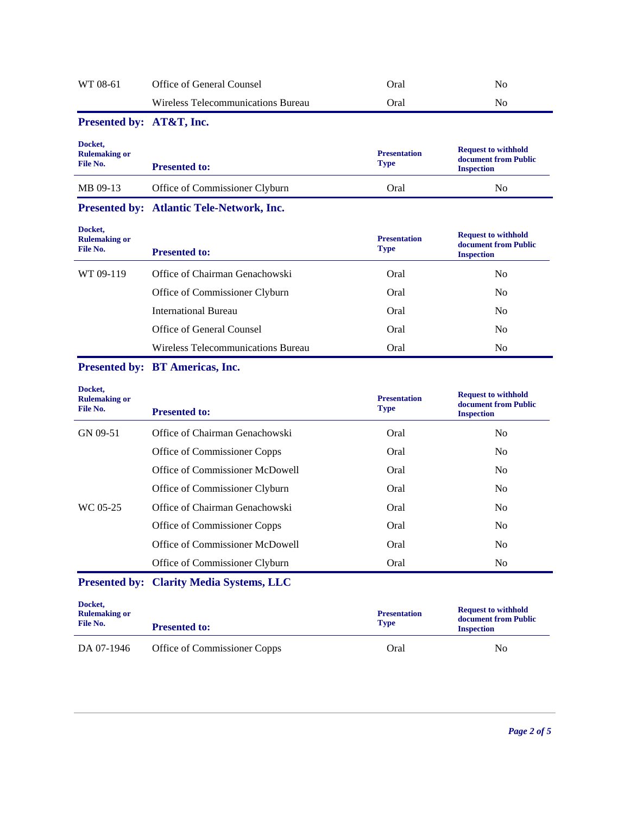| WT 08-61                                    | Office of General Counsel                       | Oral                               | N <sub>o</sub>                                                          |
|---------------------------------------------|-------------------------------------------------|------------------------------------|-------------------------------------------------------------------------|
|                                             | Wireless Telecommunications Bureau              | Oral                               | No                                                                      |
| Presented by: AT&T, Inc.                    |                                                 |                                    |                                                                         |
| Docket,<br><b>Rulemaking or</b><br>File No. | <b>Presented to:</b>                            | <b>Presentation</b><br><b>Type</b> | <b>Request to withhold</b><br>document from Public<br><b>Inspection</b> |
| MB 09-13                                    | Office of Commissioner Clyburn                  | Oral                               | No                                                                      |
|                                             | Presented by: Atlantic Tele-Network, Inc.       |                                    |                                                                         |
| Docket,<br><b>Rulemaking or</b><br>File No. | <b>Presented to:</b>                            | <b>Presentation</b><br><b>Type</b> | <b>Request to withhold</b><br>document from Public<br><b>Inspection</b> |
| WT 09-119                                   | Office of Chairman Genachowski                  | Oral                               | N <sub>o</sub>                                                          |
|                                             | Office of Commissioner Clyburn                  | Oral                               | N <sub>0</sub>                                                          |
|                                             | <b>International Bureau</b>                     | Oral                               | N <sub>0</sub>                                                          |
|                                             | Office of General Counsel                       | Oral                               | N <sub>0</sub>                                                          |
|                                             | Wireless Telecommunications Bureau              | Oral                               | No                                                                      |
|                                             | Presented by: BT Americas, Inc.                 |                                    |                                                                         |
| Docket,<br><b>Rulemaking or</b><br>File No. | <b>Presented to:</b>                            | <b>Presentation</b><br><b>Type</b> | <b>Request to withhold</b><br>document from Public<br><b>Inspection</b> |
| GN 09-51                                    | Office of Chairman Genachowski                  | Oral                               | N <sub>0</sub>                                                          |
|                                             | Office of Commissioner Copps                    | Oral                               | N <sub>0</sub>                                                          |
|                                             | Office of Commissioner McDowell                 | Oral                               | N <sub>0</sub>                                                          |
|                                             | Office of Commissioner Clyburn                  | Oral                               | N <sub>0</sub>                                                          |
| WC 05-25                                    | Office of Chairman Genachowski                  | Oral                               | No                                                                      |
|                                             | Office of Commissioner Copps                    | Oral                               | N <sub>0</sub>                                                          |
|                                             | Office of Commissioner McDowell                 | Oral                               | N <sub>0</sub>                                                          |
|                                             | Office of Commissioner Clyburn                  | Oral                               | No                                                                      |
|                                             | <b>Presented by: Clarity Media Systems, LLC</b> |                                    |                                                                         |
|                                             |                                                 |                                    |                                                                         |
| Docket,<br><b>Rulemaking or</b><br>File No. | <b>Presented to:</b>                            | <b>Presentation</b><br><b>Type</b> | <b>Request to withhold</b><br>document from Public<br><b>Inspection</b> |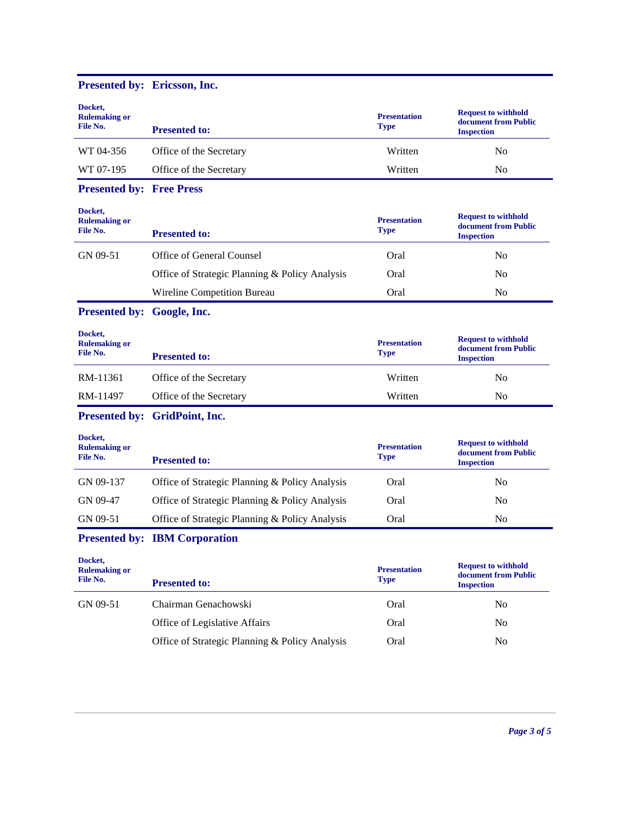# **Presented by: Ericsson, Inc.**

| Docket,<br><b>Rulemaking or</b><br>File No. | <b>Presented to:</b>                           | <b>Presentation</b><br><b>Type</b> | <b>Request to withhold</b><br>document from Public<br><b>Inspection</b> |
|---------------------------------------------|------------------------------------------------|------------------------------------|-------------------------------------------------------------------------|
| WT 04-356                                   | Office of the Secretary                        | Written                            | N <sub>o</sub>                                                          |
| WT 07-195                                   | Office of the Secretary                        | Written                            | N <sub>o</sub>                                                          |
| <b>Presented by: Free Press</b>             |                                                |                                    |                                                                         |
| Docket,<br><b>Rulemaking or</b><br>File No. | <b>Presented to:</b>                           | <b>Presentation</b><br><b>Type</b> | <b>Request to withhold</b><br>document from Public<br><b>Inspection</b> |
| GN 09-51                                    | Office of General Counsel                      | Oral                               | N <sub>o</sub>                                                          |
|                                             | Office of Strategic Planning & Policy Analysis | Oral                               | No                                                                      |
|                                             | Wireline Competition Bureau                    | Oral                               | No                                                                      |
| Presented by: Google, Inc.                  |                                                |                                    |                                                                         |
| Docket,<br><b>Rulemaking or</b><br>File No. | <b>Presented to:</b>                           | <b>Presentation</b><br><b>Type</b> | <b>Request to withhold</b><br>document from Public<br><b>Inspection</b> |
| RM-11361                                    | Office of the Secretary                        | Written                            | N <sub>o</sub>                                                          |
| RM-11497                                    | Office of the Secretary                        | Written                            | N <sub>o</sub>                                                          |
|                                             | Presented by: GridPoint, Inc.                  |                                    |                                                                         |
| Docket,<br><b>Rulemaking or</b><br>File No. | <b>Presented to:</b>                           | <b>Presentation</b><br><b>Type</b> | <b>Request to withhold</b><br>document from Public<br><b>Inspection</b> |
| GN 09-137                                   | Office of Strategic Planning & Policy Analysis | Oral                               | N <sub>o</sub>                                                          |
| GN 09-47                                    | Office of Strategic Planning & Policy Analysis | Oral                               | N <sub>o</sub>                                                          |
| GN 09-51                                    | Office of Strategic Planning & Policy Analysis | Oral                               | N <sub>o</sub>                                                          |
|                                             | <b>Presented by: IBM Corporation</b>           |                                    |                                                                         |
| Docket,<br><b>Rulemaking or</b><br>File No. | <b>Presented to:</b>                           | <b>Presentation</b><br><b>Type</b> | <b>Request to withhold</b><br>document from Public<br><b>Inspection</b> |
| GN 09-51                                    | Chairman Genachowski                           | Oral                               | No                                                                      |
|                                             | Office of Legislative Affairs                  | Oral                               | No                                                                      |
|                                             | Office of Strategic Planning & Policy Analysis | Oral                               | No                                                                      |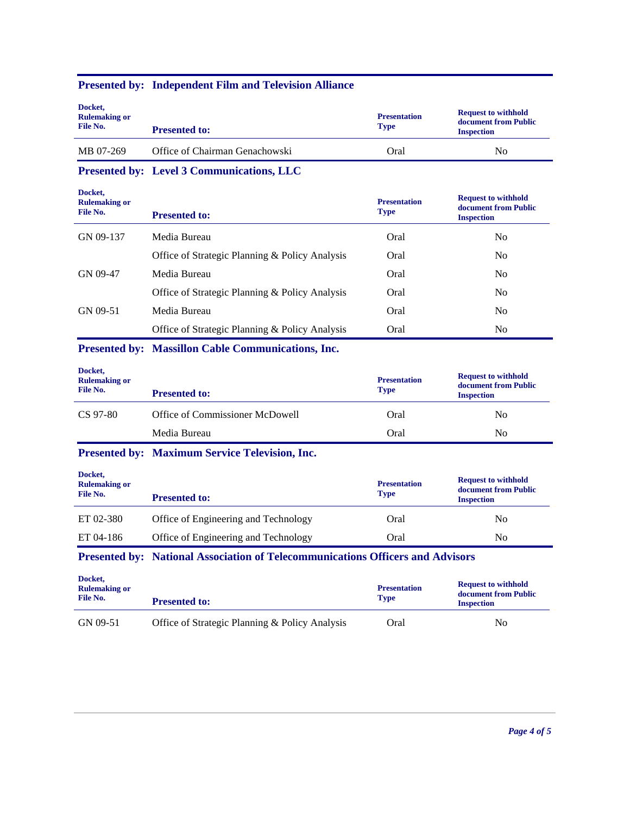| Docket,<br><b>Rulemaking or</b><br>File No. | <b>Presented to:</b>           | <b>Presentation</b><br><b>Type</b> | <b>Request to withhold</b><br>document from Public<br><b>Inspection</b> |
|---------------------------------------------|--------------------------------|------------------------------------|-------------------------------------------------------------------------|
| MB 07-269                                   | Office of Chairman Genachowski | Oral                               | No                                                                      |

## **Presented by: Independent Film and Television Alliance**

**Presented by: Level 3 Communications, LLC**

| <b>Presented to:</b>                           | <b>Presentation</b><br><b>Type</b> | <b>Request to withhold</b><br>document from Public<br><b>Inspection</b> |
|------------------------------------------------|------------------------------------|-------------------------------------------------------------------------|
| Media Bureau                                   | Oral                               | N <sub>0</sub>                                                          |
| Office of Strategic Planning & Policy Analysis | Oral                               | N <sub>0</sub>                                                          |
| Media Bureau                                   | Oral                               | N <sub>0</sub>                                                          |
| Office of Strategic Planning & Policy Analysis | Oral                               | No.                                                                     |
| Media Bureau                                   | Oral                               | N <sub>0</sub>                                                          |
| Office of Strategic Planning & Policy Analysis | Oral                               | N <sub>0</sub>                                                          |
|                                                |                                    |                                                                         |

## **Presented by: Massillon Cable Communications, Inc.**

| Docket,<br><b>Rulemaking or</b><br>File No. | <b>Presented to:</b>            | <b>Presentation</b><br><b>Type</b> | <b>Request to withhold</b><br>document from Public<br><b>Inspection</b> |
|---------------------------------------------|---------------------------------|------------------------------------|-------------------------------------------------------------------------|
| CS 97-80                                    | Office of Commissioner McDowell | Oral                               | No.                                                                     |
|                                             | Media Bureau                    | Oral                               | No                                                                      |

## **Presented by: Maximum Service Television, Inc.**

| Docket,<br><b>Rulemaking or</b><br>File No. | <b>Presented to:</b>                 | <b>Presentation</b><br><b>Type</b> | <b>Request to withhold</b><br>document from Public<br><b>Inspection</b> |
|---------------------------------------------|--------------------------------------|------------------------------------|-------------------------------------------------------------------------|
| ET 02-380                                   | Office of Engineering and Technology | Oral                               | N <sub>0</sub>                                                          |
| ET 04-186                                   | Office of Engineering and Technology | Oral                               | N <sub>0</sub>                                                          |

**Presented by: National Association of Telecommunications Officers and Advisors**

| Docket,<br><b>Rulemaking or</b><br>File No. | <b>Presented to:</b>                           | <b>Presentation</b><br><b>Type</b> | <b>Request to withhold</b><br>document from Public<br><b>Inspection</b> |
|---------------------------------------------|------------------------------------------------|------------------------------------|-------------------------------------------------------------------------|
| GN 09-51                                    | Office of Strategic Planning & Policy Analysis | Oral                               | No                                                                      |